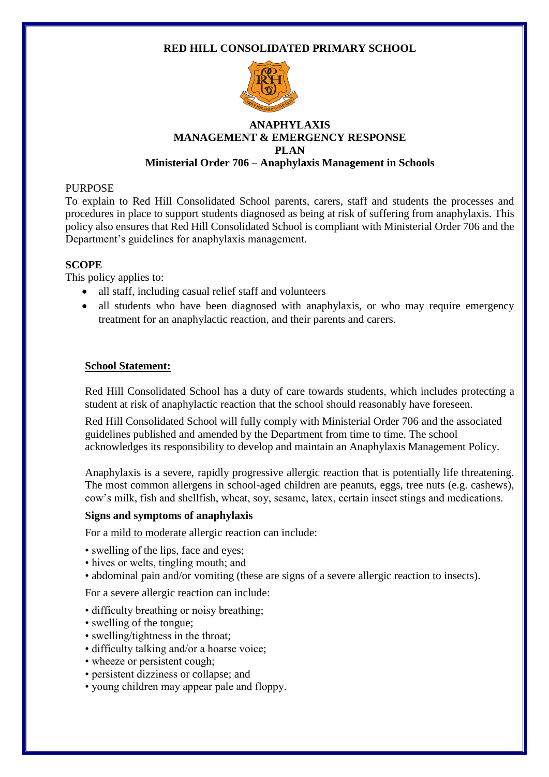### **RED HILL CONSOLIDATED PRIMARY SCHOOL**



### **ANAPHYLAXIS MANAGEMENT & EMERGENCY RESPONSE PLAN Ministerial Order 706 – Anaphylaxis Management in Schools**

### PURPOSE

To explain to Red Hill Consolidated School parents, carers, staff and students the processes and procedures in place to support students diagnosed as being at risk of suffering from anaphylaxis. This policy also ensures that Red Hill Consolidated School is compliant with Ministerial Order 706 and the Department's guidelines for anaphylaxis management.

### **SCOPE**

This policy applies to:

- all staff, including casual relief staff and volunteers
- all students who have been diagnosed with anaphylaxis, or who may require emergency treatment for an anaphylactic reaction, and their parents and carers.

### **School Statement:**

Red Hill Consolidated School has a duty of care towards students, which includes protecting a student at risk of anaphylactic reaction that the school should reasonably have foreseen.

Red Hill Consolidated School will fully comply with Ministerial Order 706 and the associated guidelines published and amended by the Department from time to time. The school acknowledges its responsibility to develop and maintain an Anaphylaxis Management Policy.

Anaphylaxis is a severe, rapidly progressive allergic reaction that is potentially life threatening. The most common allergens in school-aged children are peanuts, eggs, tree nuts (e.g. cashews), cow's milk, fish and shellfish, wheat, soy, sesame, latex, certain insect stings and medications.

#### **Signs and symptoms of anaphylaxis**

For a mild to moderate allergic reaction can include:

- swelling of the lips, face and eyes;
- hives or welts, tingling mouth; and
- abdominal pain and/or vomiting (these are signs of a severe allergic reaction to insects).

For a severe allergic reaction can include:

- difficulty breathing or noisy breathing;
- swelling of the tongue;
- swelling/tightness in the throat;
- difficulty talking and/or a hoarse voice;
- wheeze or persistent cough;
- persistent dizziness or collapse; and
- young children may appear pale and floppy.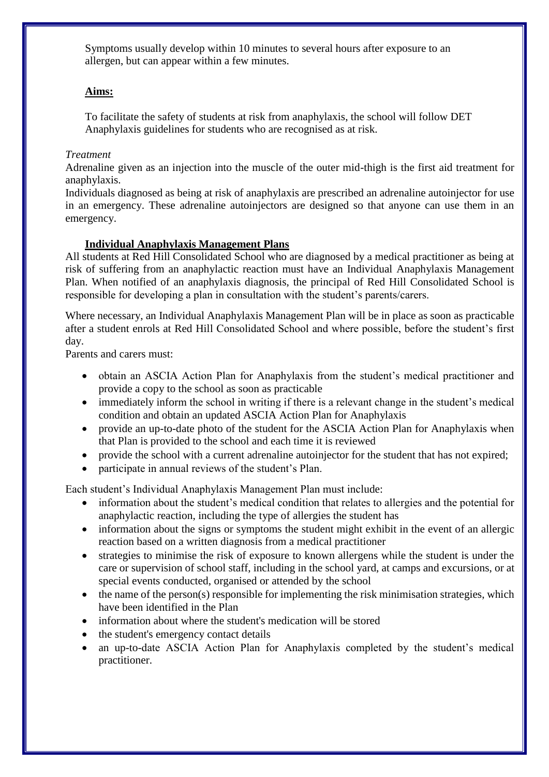Symptoms usually develop within 10 minutes to several hours after exposure to an allergen, but can appear within a few minutes.

# **Aims:**

To facilitate the safety of students at risk from anaphylaxis, the school will follow DET Anaphylaxis guidelines for students who are recognised as at risk.

# *Treatment*

Adrenaline given as an injection into the muscle of the outer mid-thigh is the first aid treatment for anaphylaxis.

Individuals diagnosed as being at risk of anaphylaxis are prescribed an adrenaline autoinjector for use in an emergency. These adrenaline autoinjectors are designed so that anyone can use them in an emergency.

### **Individual Anaphylaxis Management Plans**

All students at Red Hill Consolidated School who are diagnosed by a medical practitioner as being at risk of suffering from an anaphylactic reaction must have an Individual Anaphylaxis Management Plan. When notified of an anaphylaxis diagnosis, the principal of Red Hill Consolidated School is responsible for developing a plan in consultation with the student's parents/carers.

Where necessary, an Individual Anaphylaxis Management Plan will be in place as soon as practicable after a student enrols at Red Hill Consolidated School and where possible, before the student's first day.

Parents and carers must:

- obtain an ASCIA Action Plan for Anaphylaxis from the student's medical practitioner and provide a copy to the school as soon as practicable
- immediately inform the school in writing if there is a relevant change in the student's medical condition and obtain an updated ASCIA Action Plan for Anaphylaxis
- provide an up-to-date photo of the student for the ASCIA Action Plan for Anaphylaxis when that Plan is provided to the school and each time it is reviewed
- provide the school with a current adrenaline autoinjector for the student that has not expired;
- participate in annual reviews of the student's Plan.

Each student's Individual Anaphylaxis Management Plan must include:

- information about the student's medical condition that relates to allergies and the potential for anaphylactic reaction, including the type of allergies the student has
- information about the signs or symptoms the student might exhibit in the event of an allergic reaction based on a written diagnosis from a medical practitioner
- strategies to minimise the risk of exposure to known allergens while the student is under the care or supervision of school staff, including in the school yard, at camps and excursions, or at special events conducted, organised or attended by the school
- $\bullet$  the name of the person(s) responsible for implementing the risk minimisation strategies, which have been identified in the Plan
- information about where the student's medication will be stored
- the student's emergency contact details
- an up-to-date ASCIA Action Plan for Anaphylaxis completed by the student's medical practitioner.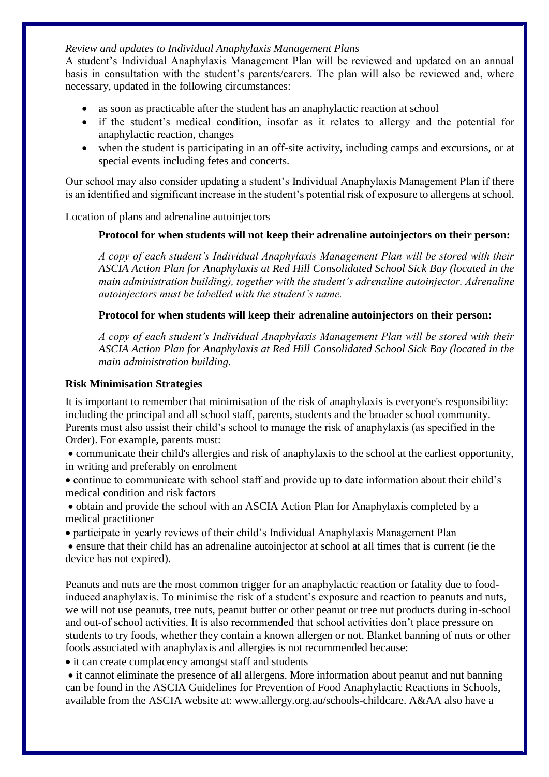### *Review and updates to Individual Anaphylaxis Management Plans*

A student's Individual Anaphylaxis Management Plan will be reviewed and updated on an annual basis in consultation with the student's parents/carers. The plan will also be reviewed and, where necessary, updated in the following circumstances:

- as soon as practicable after the student has an anaphylactic reaction at school
- if the student's medical condition, insofar as it relates to allergy and the potential for anaphylactic reaction, changes
- when the student is participating in an off-site activity, including camps and excursions, or at special events including fetes and concerts.

Our school may also consider updating a student's Individual Anaphylaxis Management Plan if there is an identified and significant increase in the student's potential risk of exposure to allergens at school.

Location of plans and adrenaline autoinjectors

### **Protocol for when students will not keep their adrenaline autoinjectors on their person:**

*A copy of each student's Individual Anaphylaxis Management Plan will be stored with their ASCIA Action Plan for Anaphylaxis at Red Hill Consolidated School Sick Bay (located in the main administration building), together with the student's adrenaline autoinjector. Adrenaline autoinjectors must be labelled with the student's name.*

### **Protocol for when students will keep their adrenaline autoinjectors on their person:**

*A copy of each student's Individual Anaphylaxis Management Plan will be stored with their ASCIA Action Plan for Anaphylaxis at Red Hill Consolidated School Sick Bay (located in the main administration building.* 

### **Risk Minimisation Strategies**

It is important to remember that minimisation of the risk of anaphylaxis is everyone's responsibility: including the principal and all school staff, parents, students and the broader school community. Parents must also assist their child's school to manage the risk of anaphylaxis (as specified in the Order). For example, parents must:

 communicate their child's allergies and risk of anaphylaxis to the school at the earliest opportunity, in writing and preferably on enrolment

 continue to communicate with school staff and provide up to date information about their child's medical condition and risk factors

 obtain and provide the school with an ASCIA Action Plan for Anaphylaxis completed by a medical practitioner

participate in yearly reviews of their child's Individual Anaphylaxis Management Plan

 ensure that their child has an adrenaline autoinjector at school at all times that is current (ie the device has not expired).

Peanuts and nuts are the most common trigger for an anaphylactic reaction or fatality due to foodinduced anaphylaxis. To minimise the risk of a student's exposure and reaction to peanuts and nuts, we will not use peanuts, tree nuts, peanut butter or other peanut or tree nut products during in-school and out-of school activities. It is also recommended that school activities don't place pressure on students to try foods, whether they contain a known allergen or not. Blanket banning of nuts or other foods associated with anaphylaxis and allergies is not recommended because:

• it can create complacency amongst staff and students

• it cannot eliminate the presence of all allergens. More information about peanut and nut banning can be found in the ASCIA Guidelines for Prevention of Food Anaphylactic Reactions in Schools, available from the ASCIA website at: www.allergy.org.au/schools-childcare. A&AA also have a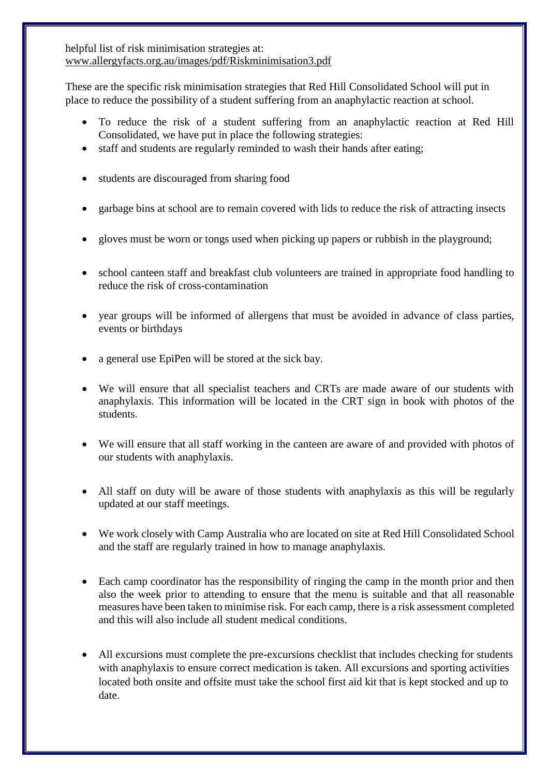helpful list of risk minimisation strategies at: [www.allergyfacts.org.au/images/pdf/Riskminimisation3.pdf](http://www.allergyfacts.org.au/images/pdf/Riskminimisation3.pdf)

These are the specific risk minimisation strategies that Red Hill Consolidated School will put in place to reduce the possibility of a student suffering from an anaphylactic reaction at school.

- To reduce the risk of a student suffering from an anaphylactic reaction at Red Hill Consolidated, we have put in place the following strategies:
- staff and students are regularly reminded to wash their hands after eating;
- students are discouraged from sharing food
- garbage bins at school are to remain covered with lids to reduce the risk of attracting insects
- gloves must be worn or tongs used when picking up papers or rubbish in the playground;
- school canteen staff and breakfast club volunteers are trained in appropriate food handling to reduce the risk of cross-contamination
- year groups will be informed of allergens that must be avoided in advance of class parties, events or birthdays
- a general use EpiPen will be stored at the sick bay.
- We will ensure that all specialist teachers and CRTs are made aware of our students with anaphylaxis. This information will be located in the CRT sign in book with photos of the students.
- We will ensure that all staff working in the canteen are aware of and provided with photos of our students with anaphylaxis.
- All staff on duty will be aware of those students with anaphylaxis as this will be regularly updated at our staff meetings.
- We work closely with Camp Australia who are located on site at Red Hill Consolidated School and the staff are regularly trained in how to manage anaphylaxis.
- Each camp coordinator has the responsibility of ringing the camp in the month prior and then also the week prior to attending to ensure that the menu is suitable and that all reasonable measures have been taken to minimise risk. For each camp, there is a risk assessment completed and this will also include all student medical conditions.
- All excursions must complete the pre-excursions checklist that includes checking for students with anaphylaxis to ensure correct medication is taken. All excursions and sporting activities located both onsite and offsite must take the school first aid kit that is kept stocked and up to date.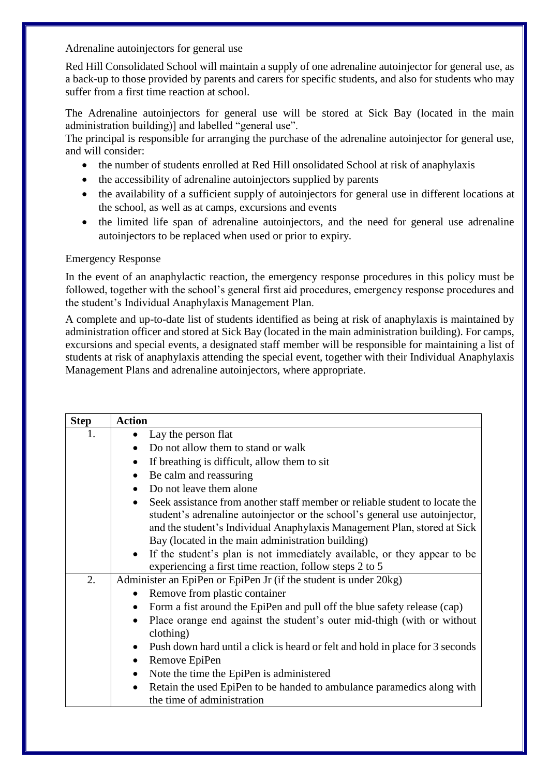Adrenaline autoinjectors for general use

Red Hill Consolidated School will maintain a supply of one adrenaline autoinjector for general use, as a back-up to those provided by parents and carers for specific students, and also for students who may suffer from a first time reaction at school.

The Adrenaline autoinjectors for general use will be stored at Sick Bay (located in the main administration building)] and labelled "general use".

The principal is responsible for arranging the purchase of the adrenaline autoinjector for general use, and will consider:

- the number of students enrolled at Red Hill onsolidated School at risk of anaphylaxis
- the accessibility of adrenaline autoinjectors supplied by parents
- the availability of a sufficient supply of autoinjectors for general use in different locations at the school, as well as at camps, excursions and events
- the limited life span of adrenaline autoinjectors, and the need for general use adrenaline autoinjectors to be replaced when used or prior to expiry.

#### Emergency Response

In the event of an anaphylactic reaction, the emergency response procedures in this policy must be followed, together with the school's general first aid procedures, emergency response procedures and the student's Individual Anaphylaxis Management Plan.

A complete and up-to-date list of students identified as being at risk of anaphylaxis is maintained by administration officer and stored at Sick Bay (located in the main administration building). For camps, excursions and special events, a designated staff member will be responsible for maintaining a list of students at risk of anaphylaxis attending the special event, together with their Individual Anaphylaxis Management Plans and adrenaline autoinjectors, where appropriate.

| <b>Step</b> | <b>Action</b>                                                                              |
|-------------|--------------------------------------------------------------------------------------------|
| 1.          | Lay the person flat<br>$\bullet$                                                           |
|             | Do not allow them to stand or walk<br>$\bullet$                                            |
|             | If breathing is difficult, allow them to sit<br>$\bullet$                                  |
|             | Be calm and reassuring<br>$\bullet$                                                        |
|             | Do not leave them alone<br>$\bullet$                                                       |
|             | Seek assistance from another staff member or reliable student to locate the<br>$\bullet$   |
|             | student's adrenaline autoinjector or the school's general use autoinjector,                |
|             | and the student's Individual Anaphylaxis Management Plan, stored at Sick                   |
|             | Bay (located in the main administration building)                                          |
|             | If the student's plan is not immediately available, or they appear to be<br>$\bullet$      |
|             | experiencing a first time reaction, follow steps 2 to 5                                    |
| 2.          | Administer an EpiPen or EpiPen Jr (if the student is under 20kg)                           |
|             | Remove from plastic container<br>$\bullet$                                                 |
|             | Form a fist around the EpiPen and pull off the blue safety release (cap)                   |
|             | Place orange end against the student's outer mid-thigh (with or without<br>$\bullet$       |
|             | clothing)                                                                                  |
|             | Push down hard until a click is heard or felt and hold in place for 3 seconds<br>$\bullet$ |
|             | Remove EpiPen<br>$\bullet$                                                                 |
|             | Note the time the EpiPen is administered<br>$\bullet$                                      |
|             | Retain the used EpiPen to be handed to ambulance paramedics along with<br>$\bullet$        |
|             | the time of administration                                                                 |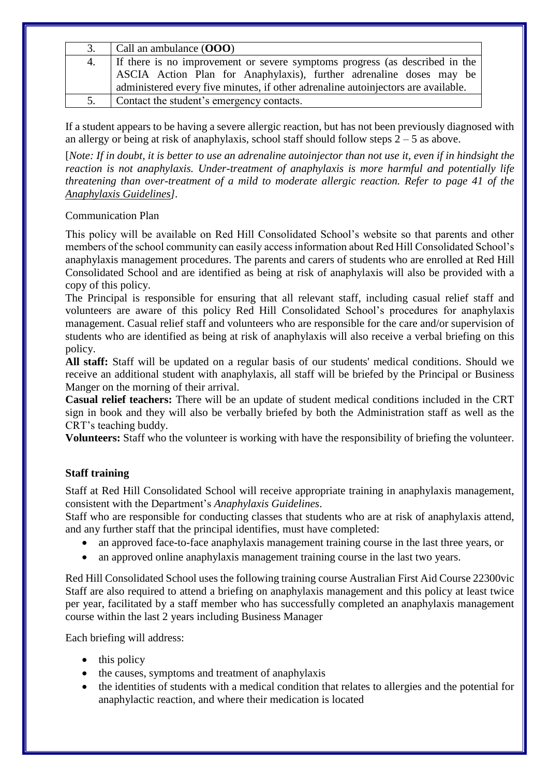| 3. | Call an ambulance $(000)$                                                                                                                                                                                                               |
|----|-----------------------------------------------------------------------------------------------------------------------------------------------------------------------------------------------------------------------------------------|
| 4. | If there is no improvement or severe symptoms progress (as described in the<br>ASCIA Action Plan for Anaphylaxis), further adrenaline doses may be<br>administered every five minutes, if other adrenaline autoinjectors are available. |
| 5. | Contact the student's emergency contacts.                                                                                                                                                                                               |

If a student appears to be having a severe allergic reaction, but has not been previously diagnosed with an allergy or being at risk of anaphylaxis, school staff should follow steps  $2 - 5$  as above.

[*Note: If in doubt, it is better to use an adrenaline autoinjector than not use it, even if in hindsight the reaction is not anaphylaxis. Under-treatment of anaphylaxis is more harmful and potentially life threatening than over-treatment of a mild to moderate allergic reaction. Refer to page 41 of the [Anaphylaxis Guidelines\]](http://www.education.vic.gov.au/school/teachers/health/pages/anaphylaxisschl.aspx).*

### Communication Plan

This policy will be available on Red Hill Consolidated School's website so that parents and other members of the school community can easily access information about Red Hill Consolidated School's anaphylaxis management procedures. The parents and carers of students who are enrolled at Red Hill Consolidated School and are identified as being at risk of anaphylaxis will also be provided with a copy of this policy.

The Principal is responsible for ensuring that all relevant staff, including casual relief staff and volunteers are aware of this policy Red Hill Consolidated School's procedures for anaphylaxis management. Casual relief staff and volunteers who are responsible for the care and/or supervision of students who are identified as being at risk of anaphylaxis will also receive a verbal briefing on this policy.

**All staff:** Staff will be updated on a regular basis of our students' medical conditions. Should we receive an additional student with anaphylaxis, all staff will be briefed by the Principal or Business Manger on the morning of their arrival.

**Casual relief teachers:** There will be an update of student medical conditions included in the CRT sign in book and they will also be verbally briefed by both the Administration staff as well as the CRT's teaching buddy.

**Volunteers:** Staff who the volunteer is working with have the responsibility of briefing the volunteer.

### **Staff training**

Staff at Red Hill Consolidated School will receive appropriate training in anaphylaxis management, consistent with the Department's *Anaphylaxis Guidelines*.

Staff who are responsible for conducting classes that students who are at risk of anaphylaxis attend, and any further staff that the principal identifies, must have completed:

- an approved face-to-face anaphylaxis management training course in the last three years, or
- an approved online anaphylaxis management training course in the last two years.

Red Hill Consolidated School uses the following training course Australian First Aid Course 22300vic Staff are also required to attend a briefing on anaphylaxis management and this policy at least twice per year, facilitated by a staff member who has successfully completed an anaphylaxis management course within the last 2 years including Business Manager

Each briefing will address:

- $\bullet$  this policy
- the causes, symptoms and treatment of anaphylaxis
- the identities of students with a medical condition that relates to allergies and the potential for anaphylactic reaction, and where their medication is located